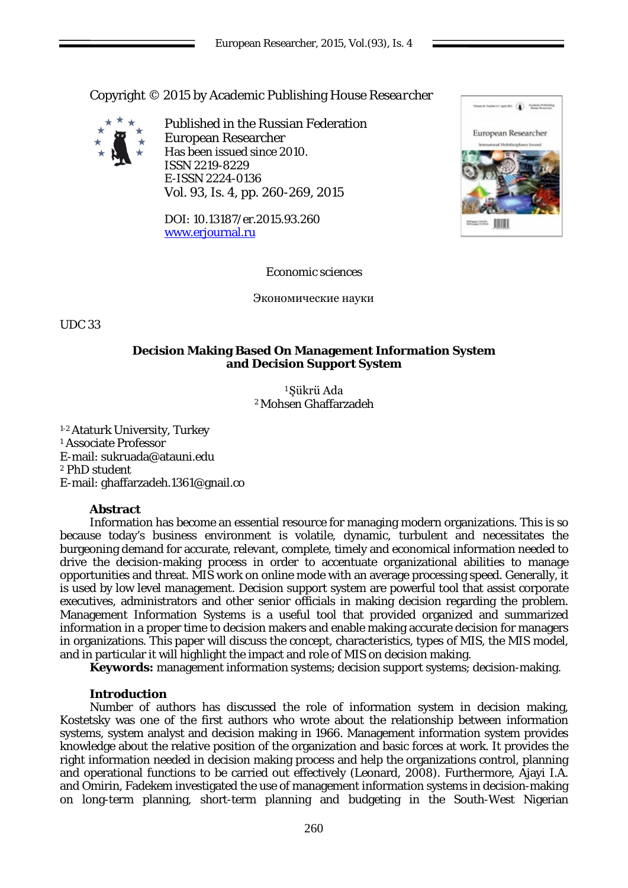Copyright © 2015 by Academic Publishing House *Researcher*



Published in the Russian Federation European Researcher Has been issued since 2010. ISSN 2219-8229 E-ISSN 2224-0136 Vol. 93, Is. 4, pp. 260-269, 2015

DOI: 10.13187/er.2015.93.260 [www.erjournal.ru](http://www.erjournal.ru/)



Economic sciences

Экономические науки

UDC 33

# **Decision Making Based On Management Information System and Decision Support System**

<sup>1</sup>Şükrü Ada 2 Mohsen Ghaffarzadeh

1-2 Ataturk University, Turkey <sup>1</sup> Associate Professor E-mail: sukruada@atauni.edu <sup>2</sup> PhD student E-mail: [ghaffarzadeh.1](mailto:Ghaffarzadeh.1361@gmail.com)361@gnail.co

# **Abstract**

Information has become an essential resource for managing modern organizations. This is so because today's business environment is volatile, dynamic, turbulent and necessitates the burgeoning demand for accurate, relevant, complete, timely and economical information needed to drive the decision-making process in order to accentuate organizational abilities to manage opportunities and threat. MIS work on online mode with an average processing speed. Generally, it is used by low level management. Decision support system are powerful tool that assist corporate executives, administrators and other senior officials in making decision regarding the problem. Management Information Systems is a useful tool that provided organized and summarized information in a proper time to decision makers and enable making accurate decision for managers in organizations. This paper will discuss the concept, characteristics, types of MIS, the MIS model, and in particular it will highlight the impact and role of MIS on decision making.

**Keywords:** management information systems; decision support systems; decision-making.

# **Introduction**

Number of authors has discussed the role of information system in decision making, Kostetsky was one of the first authors who wrote about the relationship between information systems, system analyst and decision making in 1966. Management information system provides knowledge about the relative position of the organization and basic forces at work. It provides the right information needed in decision making process and help the organizations control, planning and operational functions to be carried out effectively (Leonard, 2008). Furthermore, Ajayi I.A. and Omirin, Fadekem investigated the use of management information systems in decision-making on long-term planning, short-term planning and budgeting in the South-West Nigerian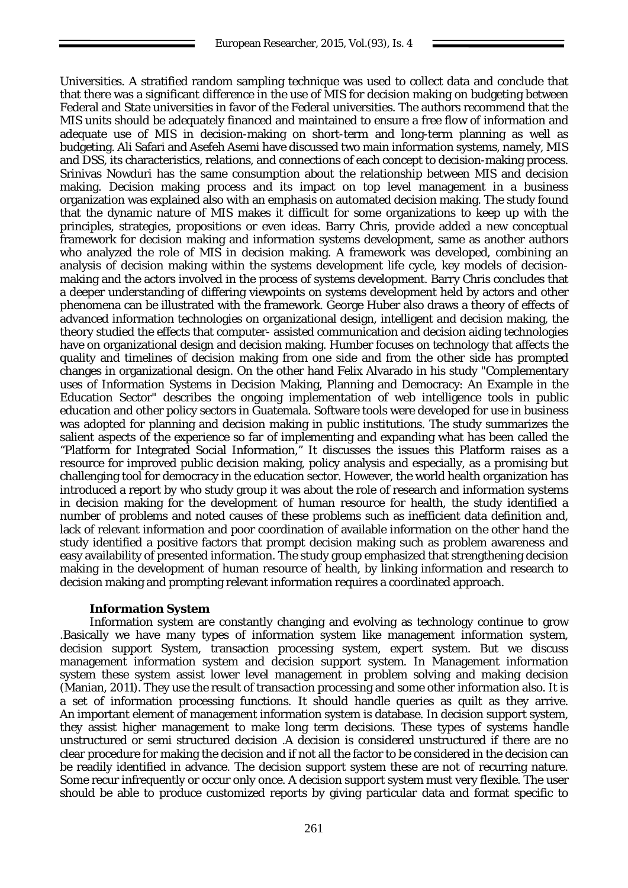Universities. A stratified random sampling technique was used to collect data and conclude that that there was a significant difference in the use of MIS for decision making on budgeting between Federal and State universities in favor of the Federal universities. The authors recommend that the MIS units should be adequately financed and maintained to ensure a free flow of information and adequate use of MIS in decision-making on short-term and long-term planning as well as budgeting. Ali Safari and Asefeh Asemi have discussed two main information systems, namely, MIS and DSS, its characteristics, relations, and connections of each concept to decision-making process. Srinivas Nowduri has the same consumption about the relationship between MIS and decision making. Decision making process and its impact on top level management in a business organization was explained also with an emphasis on automated decision making. The study found that the dynamic nature of MIS makes it difficult for some organizations to keep up with the principles, strategies, propositions or even ideas. Barry Chris, provide added a new conceptual framework for decision making and information systems development, same as another authors who analyzed the role of MIS in decision making. A framework was developed, combining an analysis of decision making within the systems development life cycle, key models of decisionmaking and the actors involved in the process of systems development. Barry Chris concludes that a deeper understanding of differing viewpoints on systems development held by actors and other phenomena can be illustrated with the framework. George Huber also draws a theory of effects of advanced information technologies on organizational design, intelligent and decision making, the theory studied the effects that computer- assisted communication and decision aiding technologies have on organizational design and decision making. Humber focuses on technology that affects the quality and timelines of decision making from one side and from the other side has prompted changes in organizational design. On the other hand Felix Alvarado in his study "Complementary uses of Information Systems in Decision Making, Planning and Democracy: An Example in the Education Sector" describes the ongoing implementation of web intelligence tools in public education and other policy sectors in Guatemala. Software tools were developed for use in business was adopted for planning and decision making in public institutions. The study summarizes the salient aspects of the experience so far of implementing and expanding what has been called the "Platform for Integrated Social Information," It discusses the issues this Platform raises as a resource for improved public decision making, policy analysis and especially, as a promising but challenging tool for democracy in the education sector. However, the world health organization has introduced a report by who study group it was about the role of research and information systems in decision making for the development of human resource for health, the study identified a number of problems and noted causes of these problems such as inefficient data definition and, lack of relevant information and poor coordination of available information on the other hand the study identified a positive factors that prompt decision making such as problem awareness and easy availability of presented information. The study group emphasized that strengthening decision making in the development of human resource of health, by linking information and research to decision making and prompting relevant information requires a coordinated approach.

# **Information System**

Information system are constantly changing and evolving as technology continue to grow .Basically we have many types of information system like management information system, decision support System, transaction processing system, expert system. But we discuss management information system and decision support system. In Management information system these system assist lower level management in problem solving and making decision (Manian, 2011). They use the result of transaction processing and some other information also. It is a set of information processing functions. It should handle queries as quilt as they arrive. An important element of management information system is database. In decision support system, they assist higher management to make long term decisions. These types of systems handle unstructured or semi structured decision .A decision is considered unstructured if there are no clear procedure for making the decision and if not all the factor to be considered in the decision can be readily identified in advance. The decision support system these are not of recurring nature. Some recur infrequently or occur only once. A decision support system must very flexible. The user should be able to produce customized reports by giving particular data and format specific to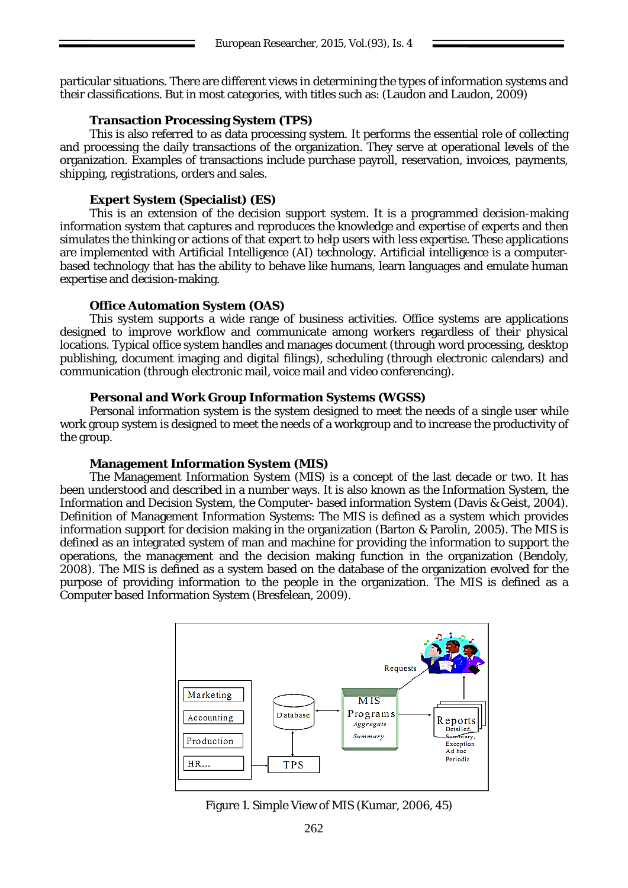particular situations. There are different views in determining the types of information systems and their classifications. But in most categories, with titles such as: (Laudon and Laudon, 2009)

## **Transaction Processing System (TPS)**

This is also referred to as data processing system. It performs the essential role of collecting and processing the daily transactions of the organization. They serve at operational levels of the organization. Examples of transactions include purchase payroll, reservation, invoices, payments, shipping, registrations, orders and sales.

### **Expert System (Specialist) (ES)**

This is an extension of the decision support system. It is a programmed decision-making information system that captures and reproduces the knowledge and expertise of experts and then simulates the thinking or actions of that expert to help users with less expertise. These applications are implemented with Artificial Intelligence (AI) technology. Artificial intelligence is a computerbased technology that has the ability to behave like humans, learn languages and emulate human expertise and decision-making.

## **Office Automation System (OAS)**

This system supports a wide range of business activities. Office systems are applications designed to improve workflow and communicate among workers regardless of their physical locations. Typical office system handles and manages document (through word processing, desktop publishing, document imaging and digital filings), scheduling (through electronic calendars) and communication (through electronic mail, voice mail and video conferencing).

## **Personal and Work Group Information Systems (WGSS)**

Personal information system is the system designed to meet the needs of a single user while work group system is designed to meet the needs of a workgroup and to increase the productivity of the group.

### **Management Information System (MIS)**

The Management Information System (MIS) is a concept of the last decade or two. It has been understood and described in a number ways. It is also known as the Information System, the Information and Decision System, the Computer- based information System (Davis & Geist, 2004). Definition of Management Information Systems: The MIS is defined as a system which provides information support for decision making in the organization (Barton & Parolin, 2005). The MIS is defined as an integrated system of man and machine for providing the information to support the operations, the management and the decision making function in the organization (Bendoly, 2008). The MIS is defined as a system based on the database of the organization evolved for the purpose of providing information to the people in the organization. The MIS is defined as a Computer based Information System (Bresfelean, 2009).



Figure 1. Simple View of MIS (Kumar, 2006, 45)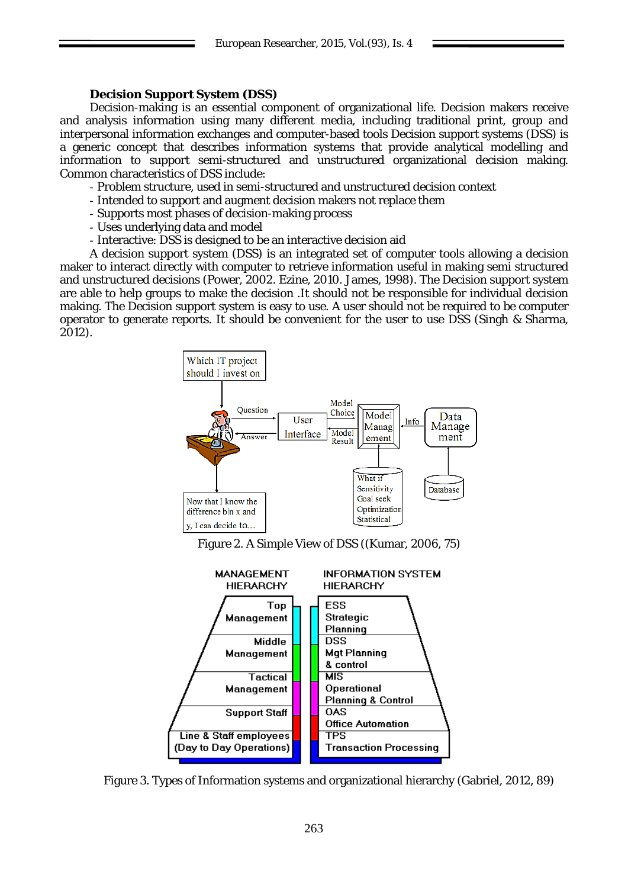# **Decision Support System (DSS)**

Decision-making is an essential component of organizational life. Decision makers receive and analysis information using many different media, including traditional print, group and interpersonal information exchanges and computer-based tools Decision support systems (DSS) is a generic concept that describes information systems that provide analytical modelling and information to support semi-structured and unstructured organizational decision making. Common characteristics of DSS include:

- Problem structure, used in semi-structured and unstructured decision context
- Intended to support and augment decision makers not replace them
- Supports most phases of decision-making process
- Uses underlying data and model
- Interactive: DSS is designed to be an interactive decision aid

A decision support system (DSS) is an integrated set of computer tools allowing a decision maker to interact directly with computer to retrieve information useful in making semi structured and unstructured decisions (Power, 2002. Ezine, 2010. James, 1998). The Decision support system are able to help groups to make the decision .It should not be responsible for individual decision making. The Decision support system is easy to use. A user should not be required to be computer operator to generate reports. It should be convenient for the user to use DSS (Singh & Sharma, 2012).



Figure 2. A Simple View of DSS ((Kumar, 2006, 75)



Figure 3. Types of Information systems and organizational hierarchy (Gabriel, 2012, 89)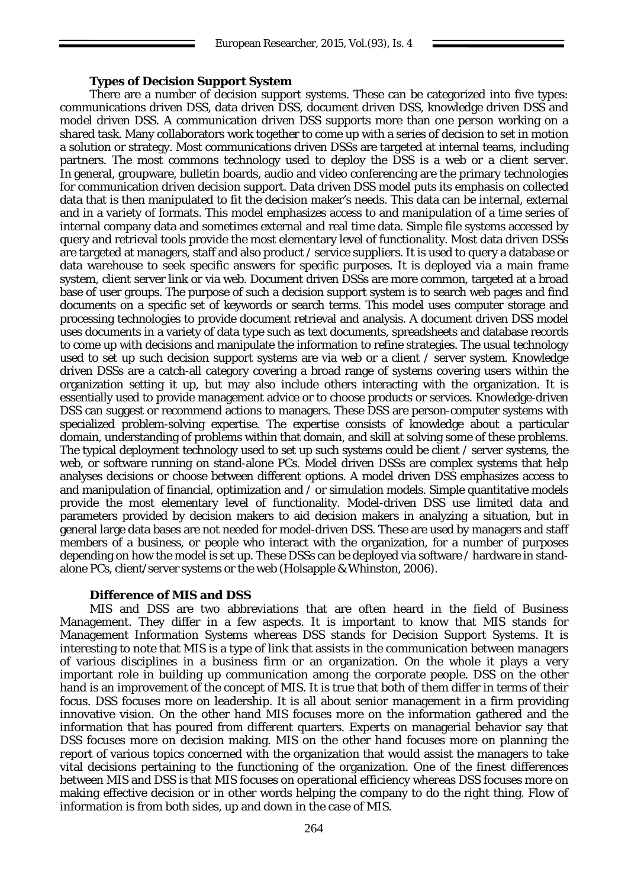### **Types of Decision Support System**

There are a number of decision support systems. These can be categorized into five types: communications driven DSS, data driven DSS, document driven DSS, knowledge driven DSS and model driven DSS. A communication driven DSS supports more than one person working on a shared task. Many collaborators work together to come up with a series of decision to set in motion a solution or strategy. Most communications driven DSSs are targeted at internal teams, including partners. The most commons technology used to deploy the DSS is a web or a client server. In general, groupware, bulletin boards, audio and video conferencing are the primary technologies for communication driven decision support. Data driven DSS model puts its emphasis on collected data that is then manipulated to fit the decision maker's needs. This data can be internal, external and in a variety of formats. This model emphasizes access to and manipulation of a time series of internal company data and sometimes external and real time data. Simple file systems accessed by query and retrieval tools provide the most elementary level of functionality. Most data driven DSSs are targeted at managers, staff and also product / service suppliers. It is used to query a database or data warehouse to seek specific answers for specific purposes. It is deployed via a main frame system, client server link or via web. Document driven DSSs are more common, targeted at a broad base of user groups. The purpose of such a decision support system is to search web pages and find documents on a specific set of keywords or search terms. This model uses computer storage and processing technologies to provide document retrieval and analysis. A document driven DSS model uses documents in a variety of data type such as text documents, spreadsheets and database records to come up with decisions and manipulate the information to refine strategies. The usual technology used to set up such decision support systems are via web or a client / server system. Knowledge driven DSSs are a catch-all category covering a broad range of systems covering users within the organization setting it up, but may also include others interacting with the organization. It is essentially used to provide management advice or to choose products or services. Knowledge-driven DSS can suggest or recommend actions to managers. These DSS are person-computer systems with specialized problem-solving expertise. The expertise consists of knowledge about a particular domain, understanding of problems within that domain, and skill at solving some of these problems. The typical deployment technology used to set up such systems could be client / server systems, the web, or software running on stand-alone PCs. Model driven DSSs are complex systems that help analyses decisions or choose between different options. A model driven DSS emphasizes access to and manipulation of financial, optimization and  $\overline{\prime}$  or simulation models. Simple quantitative models provide the most elementary level of functionality. Model-driven DSS use limited data and parameters provided by decision makers to aid decision makers in analyzing a situation, but in general large data bases are not needed for model-driven DSS. These are used by managers and staff members of a business, or people who interact with the organization, for a number of purposes depending on how the model is set up. These DSSs can be deployed via software / hardware in standalone PCs, client/server systems or the web (Holsapple & Whinston, 2006).

### **Difference of MIS and DSS**

MIS and DSS are two abbreviations that are often heard in the field of Business Management. They differ in a few aspects. It is important to know that MIS stands for Management Information Systems whereas DSS stands for Decision Support Systems. It is interesting to note that MIS is a type of link that assists in the communication between managers of various disciplines in a business firm or an organization. On the whole it plays a very important role in building up communication among the corporate people. DSS on the other hand is an improvement of the concept of MIS. It is true that both of them differ in terms of their focus. DSS focuses more on leadership. It is all about senior management in a firm providing innovative vision. On the other hand MIS focuses more on the information gathered and the information that has poured from different quarters. Experts on managerial behavior say that DSS focuses more on decision making. MIS on the other hand focuses more on planning the report of various topics concerned with the organization that would assist the managers to take vital decisions pertaining to the functioning of the organization. One of the finest differences between MIS and DSS is that MIS focuses on operational efficiency whereas DSS focuses more on making effective decision or in other words helping the company to do the right thing. Flow of information is from both sides, up and down in the case of MIS.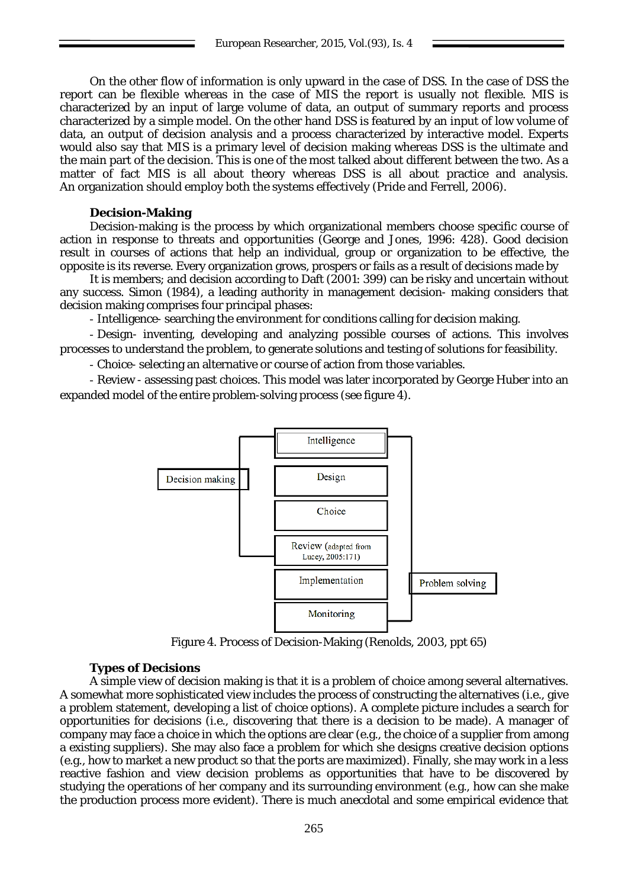On the other flow of information is only upward in the case of DSS. In the case of DSS the report can be flexible whereas in the case of MIS the report is usually not flexible. MIS is characterized by an input of large volume of data, an output of summary reports and process characterized by a simple model. On the other hand DSS is featured by an input of low volume of data, an output of decision analysis and a process characterized by interactive model. Experts would also say that MIS is a primary level of decision making whereas DSS is the ultimate and the main part of the decision. This is one of the most talked about different between the two. As a matter of fact MIS is all about theory whereas DSS is all about practice and analysis. An organization should employ both the systems effectively (Pride and Ferrell, 2006).

### **Decision-Making**

Decision-making is the process by which organizational members choose specific course of action in response to threats and opportunities (George and Jones, 1996: 428). Good decision result in courses of actions that help an individual, group or organization to be effective, the opposite is its reverse. Every organization grows, prospers or fails as a result of decisions made by

It is members; and decision according to Daft (2001: 399) can be risky and uncertain without any success. Simon (1984), a leading authority in management decision- making considers that decision making comprises four principal phases:

- Intelligence- searching the environment for conditions calling for decision making.

- Design- inventing, developing and analyzing possible courses of actions. This involves processes to understand the problem, to generate solutions and testing of solutions for feasibility.

- Choice- selecting an alternative or course of action from those variables.

- Review - assessing past choices. This model was later incorporated by George Huber into an expanded model of the entire problem-solving process (see figure 4).



Figure 4. Process of Decision-Making (Renolds, 2003, ppt 65)

# **Types of Decisions**

A simple view of decision making is that it is a problem of choice among several alternatives. A somewhat more sophisticated view includes the process of constructing the alternatives (i.e., give a problem statement, developing a list of choice options). A complete picture includes a search for opportunities for decisions (i.e., discovering that there is a decision to be made). A manager of company may face a choice in which the options are clear (e.g., the choice of a supplier from among a existing suppliers). She may also face a problem for which she designs creative decision options (e.g., how to market a new product so that the ports are maximized). Finally, she may work in a less reactive fashion and view decision problems as opportunities that have to be discovered by studying the operations of her company and its surrounding environment (e.g., how can she make the production process more evident). There is much anecdotal and some empirical evidence that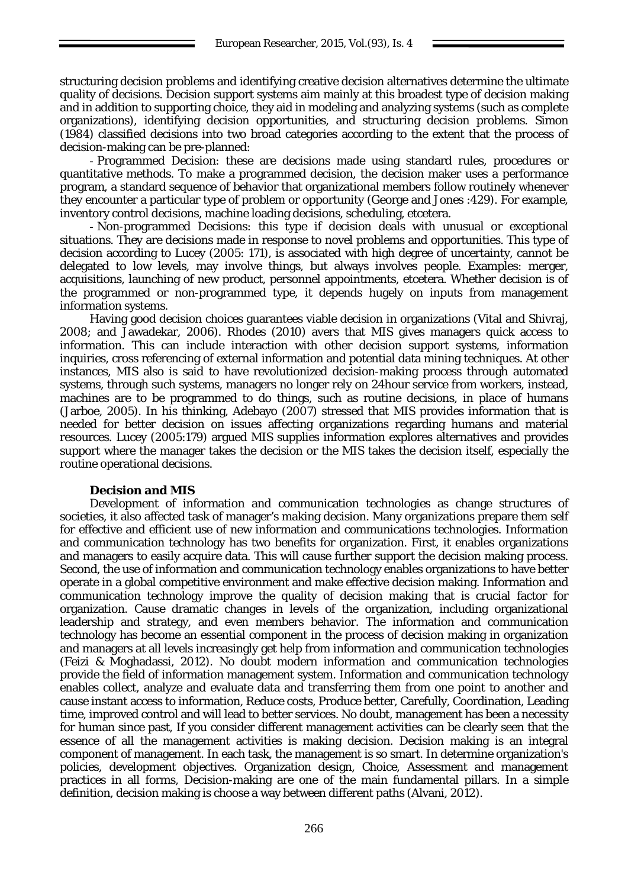structuring decision problems and identifying creative decision alternatives determine the ultimate quality of decisions. Decision support systems aim mainly at this broadest type of decision making and in addition to supporting choice, they aid in modeling and analyzing systems (such as complete organizations), identifying decision opportunities, and structuring decision problems. Simon (1984) classified decisions into two broad categories according to the extent that the process of decision-making can be pre-planned:

- Programmed Decision: these are decisions made using standard rules, procedures or quantitative methods. To make a programmed decision, the decision maker uses a performance program, a standard sequence of behavior that organizational members follow routinely whenever they encounter a particular type of problem or opportunity (George and Jones :429). For example, inventory control decisions, machine loading decisions, scheduling, etcetera.

- Non-programmed Decisions: this type if decision deals with unusual or exceptional situations. They are decisions made in response to novel problems and opportunities. This type of decision according to Lucey (2005: 171), is associated with high degree of uncertainty, cannot be delegated to low levels, may involve things, but always involves people. Examples: merger, acquisitions, launching of new product, personnel appointments, etcetera. Whether decision is of the programmed or non-programmed type, it depends hugely on inputs from management information systems.

Having good decision choices guarantees viable decision in organizations (Vital and Shivraj, 2008; and Jawadekar, 2006). Rhodes (2010) avers that MIS gives managers quick access to information. This can include interaction with other decision support systems, information inquiries, cross referencing of external information and potential data mining techniques. At other instances, MIS also is said to have revolutionized decision-making process through automated systems, through such systems, managers no longer rely on 24hour service from workers, instead, machines are to be programmed to do things, such as routine decisions, in place of humans (Jarboe, 2005). In his thinking, Adebayo (2007) stressed that MIS provides information that is needed for better decision on issues affecting organizations regarding humans and material resources. Lucey (2005:179) argued MIS supplies information explores alternatives and provides support where the manager takes the decision or the MIS takes the decision itself, especially the routine operational decisions.

# **Decision and MIS**

Development of information and communication technologies as change structures of societies, it also affected task of manager's making decision. Many organizations prepare them self for effective and efficient use of new information and communications technologies. Information and communication technology has two benefits for organization. First, it enables organizations and managers to easily acquire data. This will cause further support the decision making process. Second, the use of information and communication technology enables organizations to have better operate in a global competitive environment and make effective decision making. Information and communication technology improve the quality of decision making that is crucial factor for organization. Cause dramatic changes in levels of the organization, including organizational leadership and strategy, and even members behavior. The information and communication technology has become an essential component in the process of decision making in organization and managers at all levels increasingly get help from information and communication technologies (Feizi & Moghadassi, 2012). No doubt modern information and communication technologies provide the field of information management system. Information and communication technology enables collect, analyze and evaluate data and transferring them from one point to another and cause instant access to information, Reduce costs, Produce better, Carefully, Coordination, Leading time, improved control and will lead to better services. No doubt, management has been a necessity for human since past, If you consider different management activities can be clearly seen that the essence of all the management activities is making decision. Decision making is an integral component of management. In each task, the management is so smart. In determine organization's policies, development objectives. Organization design, Choice, Assessment and management practices in all forms, Decision-making are one of the main fundamental pillars. In a simple definition, decision making is choose a way between different paths (Alvani, 2012).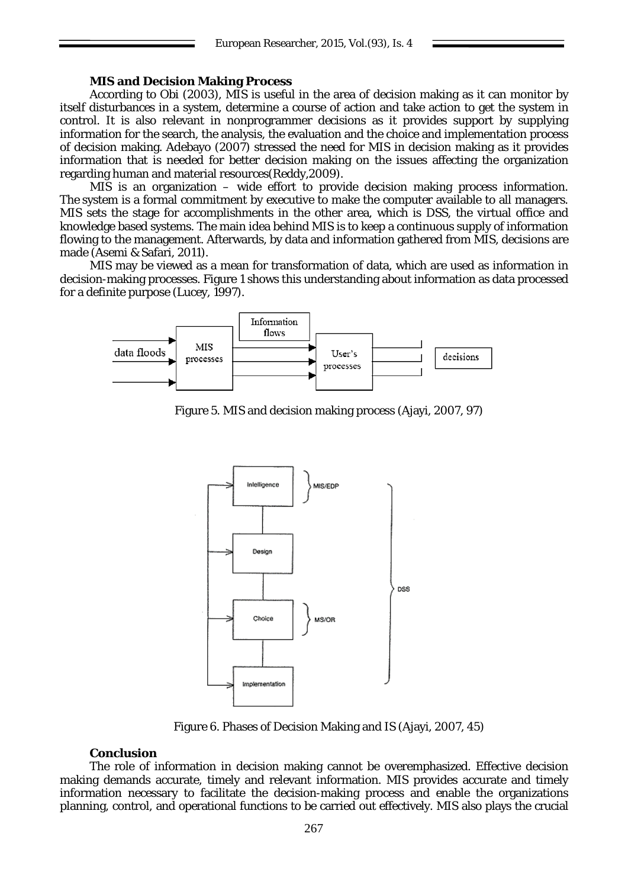## **MIS and Decision Making Process**

According to Obi (2003), MIS is useful in the area of decision making as it can monitor by itself disturbances in a system, determine a course of action and take action to get the system in control. It is also relevant in nonprogrammer decisions as it provides support by supplying information for the search, the analysis, the evaluation and the choice and implementation process of decision making. Adebayo (2007) stressed the need for MIS in decision making as it provides information that is needed for better decision making on the issues affecting the organization regarding human and material resources(Reddy,2009).

MIS is an organization – wide effort to provide decision making process information. The system is a formal commitment by executive to make the computer available to all managers. MIS sets the stage for accomplishments in the other area, which is DSS, the virtual office and knowledge based systems. The main idea behind MIS is to keep a continuous supply of information flowing to the management. Afterwards, by data and information gathered from MIS, decisions are made (Asemi & Safari, 2011).

MIS may be viewed as a mean for transformation of data, which are used as information in decision-making processes. Figure 1 shows this understanding about information as data processed for a definite purpose (Lucey, 1997).



Figure 5. MIS and decision making process (Ajayi, 2007, 97)



Figure 6. Phases of Decision Making and IS (Ajayi, 2007, 45)

#### **Conclusion**

The role of information in decision making cannot be overemphasized. Effective decision making demands accurate, timely and relevant information. MIS provides accurate and timely information necessary to facilitate the decision-making process and enable the organizations planning, control, and operational functions to be carried out effectively. MIS also plays the crucial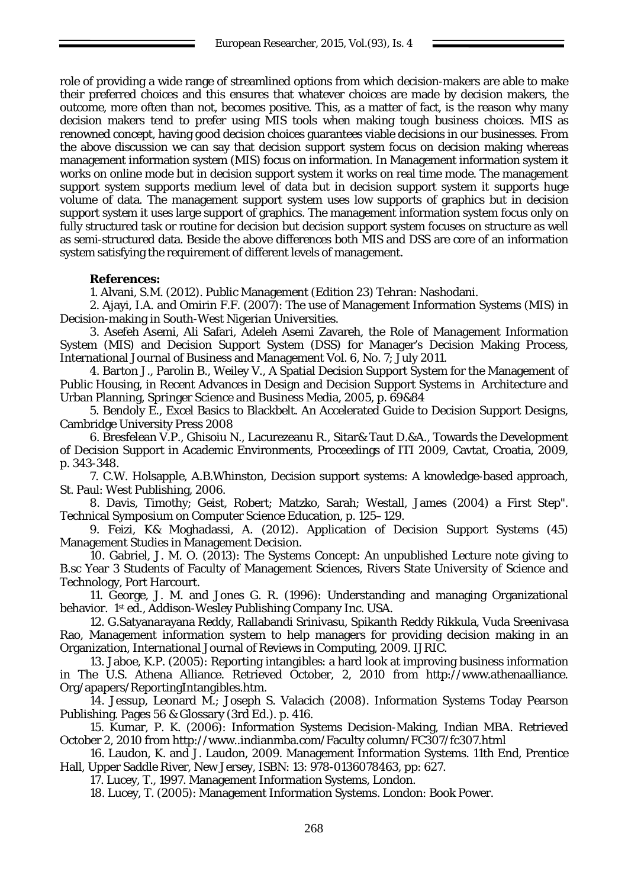role of providing a wide range of streamlined options from which decision-makers are able to make their preferred choices and this ensures that whatever choices are made by decision makers, the outcome, more often than not, becomes positive. This, as a matter of fact, is the reason why many decision makers tend to prefer using MIS tools when making tough business choices. MIS as renowned concept, having good decision choices guarantees viable decisions in our businesses. From the above discussion we can say that decision support system focus on decision making whereas management information system (MIS) focus on information. In Management information system it works on online mode but in decision support system it works on real time mode. The management support system supports medium level of data but in decision support system it supports huge volume of data. The management support system uses low supports of graphics but in decision support system it uses large support of graphics. The management information system focus only on fully structured task or routine for decision but decision support system focuses on structure as well as semi-structured data. Beside the above differences both MIS and DSS are core of an information system satisfying the requirement of different levels of management.

# **References:**

1. Alvani, S.M. (2012). Public Management (Edition 23) Tehran: Nashodani.

2. Ajayi, I.A. and Omirin F.F. (2007): The use of Management Information Systems (MIS) in Decision-making in South-West Nigerian Universities.

3. Asefeh Asemi, Ali Safari, Adeleh Asemi Zavareh, the Role of Management Information System (MIS) and Decision Support System (DSS) for Manager's Decision Making Process, International Journal of Business and Management Vol. 6, No. 7; July 2011.

4. Barton J., Parolin B., Weiley V., A Spatial Decision Support System for the Management of Public Housing, in Recent Advances in Design and Decision Support Systems in Architecture and Urban Planning, Springer Science and Business Media, 2005, p. 69&84

5. Bendoly E., Excel Basics to Blackbelt. An Accelerated Guide to Decision Support Designs, Cambridge University Press 2008

6. Bresfelean V.P., Ghisoiu N., Lacurezeanu R., Sitar& Taut D.&A., Towards the Development of Decision Support in Academic Environments, Proceedings of ITI 2009, Cavtat, Croatia, 2009, p. 343-348.

7. C.W. Holsapple, A.B.Whinston, Decision support systems: A knowledge-based approach, St. Paul: West Publishing, 2006.

8. Davis, Timothy; Geist, Robert; Matzko, Sarah; Westall, James (2004) a First Step". Technical Symposium on Computer Science Education, p. 125–129.

9. Feizi, K& Moghadassi, A. (2012). Application of Decision Support Systems (45) Management Studies in Management Decision.

10. Gabriel, J. M. O. (2013): The Systems Concept: An unpublished Lecture note giving to B.sc Year 3 Students of Faculty of Management Sciences, Rivers State University of Science and Technology, Port Harcourt.

11. George, J. M. and Jones G. R. (1996): Understanding and managing Organizational behavior. 1st ed., Addison-Wesley Publishing Company Inc. USA.

12. G.Satyanarayana Reddy, Rallabandi Srinivasu, Spikanth Reddy Rikkula, Vuda Sreenivasa Rao, Management information system to help managers for providing decision making in an Organization, International Journal of Reviews in Computing, 2009. IJRIC.

13. Jaboe, K.P. (2005): Reporting intangibles: a hard look at improving business information in The U.S. Athena Alliance. Retrieved October, 2, 2010 from http://www.athenaalliance. Org/apapers/ReportingIntangibles.htm.

14. Jessup, Leonard M.; Joseph S. Valacich (2008). Information Systems Today Pearson Publishing. Pages 56 & Glossary (3rd Ed.). p. 416.

15. Kumar, P. K. (2006): Information Systems Decision-Making, Indian MBA. Retrieved October 2, 2010 from [http://www..indianmba.com/Faculty column/FC307/fc307.html](http://www..indianmba.com/Faculty%20column/FC307/fc307.html)

16. Laudon, K. and J. Laudon, 2009. Management Information Systems. 11th End, Prentice Hall, Upper Saddle River, New Jersey, ISBN: 13: 978-0136078463, pp: 627.

17. Lucey, T., 1997. Management Information Systems, London.

18. Lucey, T. (2005): Management Information Systems. London: Book Power.